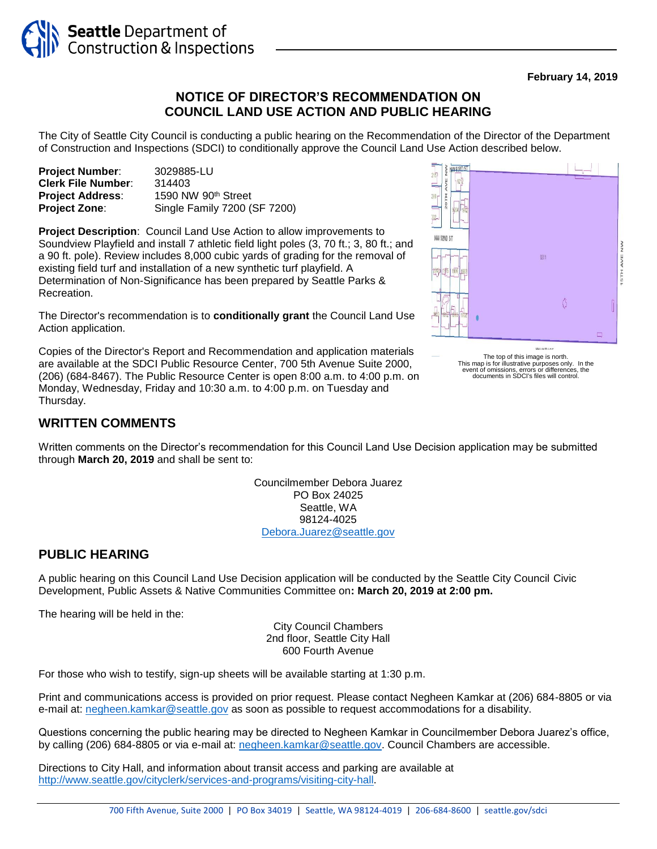

#### **February 14, 2019**

## **NOTICE OF DIRECTOR'S RECOMMENDATION ON COUNCIL LAND USE ACTION AND PUBLIC HEARING**

The City of Seattle City Council is conducting a public hearing on the Recommendation of the Director of the Department of Construction and Inspections (SDCI) to conditionally approve the Council Land Use Action described below.

| <b>Project Number:</b>    | 3029885-LU                      |
|---------------------------|---------------------------------|
| <b>Clerk File Number:</b> | 314403                          |
| <b>Project Address:</b>   | 1590 NW 90 <sup>th</sup> Street |
| <b>Project Zone:</b>      | Single Family 7200 (SF 7200)    |

**Project Description**: Council Land Use Action to allow improvements to Soundview Playfield and install 7 athletic field light poles (3, 70 ft.; 3, 80 ft.; and a 90 ft. pole). Review includes 8,000 cubic yards of grading for the removal of existing field turf and installation of a new synthetic turf playfield. A Determination of Non-Significance has been prepared by Seattle Parks & Recreation.

The Director's recommendation is to **conditionally grant** the Council Land Use Action application.

Copies of the Director's Report and Recommendation and application materials are available at the SDCI Public Resource Center, 700 5th Avenue Suite 2000, (206) (684-8467). The Public Resource Center is open 8:00 a.m. to 4:00 p.m. on Monday, Wednesday, Friday and 10:30 a.m. to 4:00 p.m. on Tuesday and Thursday.

### **WRITTEN COMMENTS**

Written comments on the Director's recommendation for this Council Land Use Decision application may be submitted through **March 20, 2019** and shall be sent to:

> Councilmember Debora Juarez PO Box 24025 Seattle, WA 98124-4025 [Debora.Juarez@seattle.gov](mailto:Debora.Juarez@seattle.gov)

#### **PUBLIC HEARING**

A public hearing on this Council Land Use Decision application will be conducted by the Seattle City Council Civic Development, Public Assets & Native Communities Committee on**: March 20, 2019 at 2:00 pm.**

The hearing will be held in the:

City Council Chambers 2nd floor, Seattle City Hall 600 Fourth Avenue

For those who wish to testify, sign-up sheets will be available starting at 1:30 p.m.

Print and communications access is provided on prior request. Please contact Negheen Kamkar at (206) 684-8805 or via e-mail at: [negheen.kamkar@seattle.gov](mailto:negheen.kamkar@seattle.gov) as soon as possible to request accommodations for a disability.

Questions concerning the public hearing may be directed to Negheen Kamkar in Councilmember Debora Juarez's office, by calling (206) 684-8805 or via e-mail at: [negheen.kamkar@seattle.gov.](mailto:negheen.kamkar@seattle.gov) Council Chambers are accessible.

Directions to City Hall, and information about transit access and parking are available at [http://www.seattle.gov/cityclerk/services-and-programs/visiting-city-hall.](http://www.seattle.gov/cityclerk/services-and-programs/visiting-city-hall)